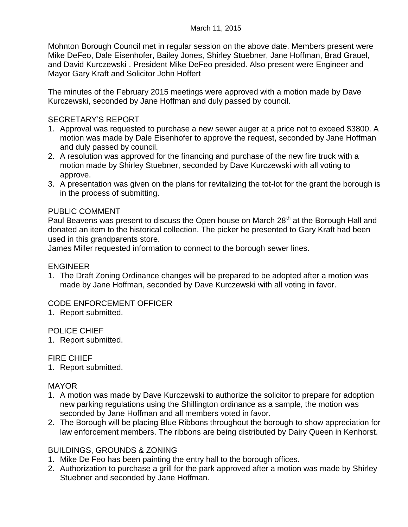Mohnton Borough Council met in regular session on the above date. Members present were Mike DeFeo, Dale Eisenhofer, Bailey Jones, Shirley Stuebner, Jane Hoffman, Brad Grauel, and David Kurczewski . President Mike DeFeo presided. Also present were Engineer and Mayor Gary Kraft and Solicitor John Hoffert

The minutes of the February 2015 meetings were approved with a motion made by Dave Kurczewski, seconded by Jane Hoffman and duly passed by council.

## SECRETARY'S REPORT

- 1. Approval was requested to purchase a new sewer auger at a price not to exceed \$3800. A motion was made by Dale Eisenhofer to approve the request, seconded by Jane Hoffman and duly passed by council.
- 2. A resolution was approved for the financing and purchase of the new fire truck with a motion made by Shirley Stuebner, seconded by Dave Kurczewski with all voting to approve.
- 3. A presentation was given on the plans for revitalizing the tot-lot for the grant the borough is in the process of submitting.

# PUBLIC COMMENT

Paul Beavens was present to discuss the Open house on March 28<sup>th</sup> at the Borough Hall and donated an item to the historical collection. The picker he presented to Gary Kraft had been used in this grandparents store.

James Miller requested information to connect to the borough sewer lines.

### ENGINEER

1. The Draft Zoning Ordinance changes will be prepared to be adopted after a motion was made by Jane Hoffman, seconded by Dave Kurczewski with all voting in favor.

### CODE ENFORCEMENT OFFICER

1. Report submitted.

### POLICE CHIEF

1. Report submitted.

### FIRE CHIEF

1. Report submitted.

### MAYOR

- 1. A motion was made by Dave Kurczewski to authorize the solicitor to prepare for adoption new parking regulations using the Shillington ordinance as a sample, the motion was seconded by Jane Hoffman and all members voted in favor.
- 2. The Borough will be placing Blue Ribbons throughout the borough to show appreciation for law enforcement members. The ribbons are being distributed by Dairy Queen in Kenhorst.

### BUILDINGS, GROUNDS & ZONING

- 1. Mike De Feo has been painting the entry hall to the borough offices.
- 2. Authorization to purchase a grill for the park approved after a motion was made by Shirley Stuebner and seconded by Jane Hoffman.